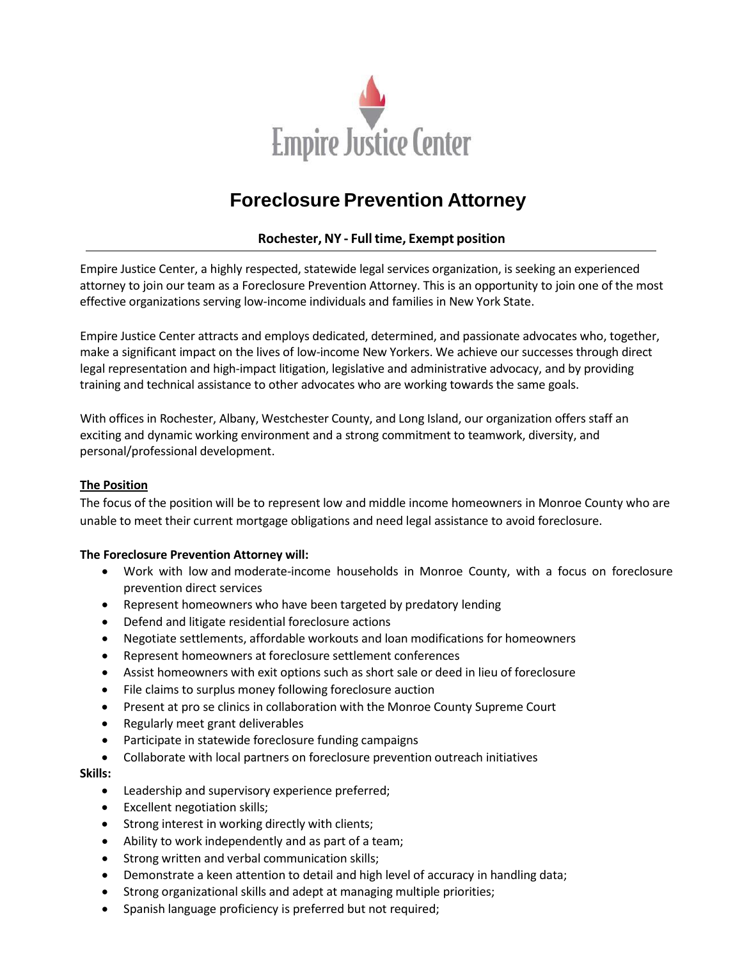

# **Foreclosure Prevention Attorney**

# **Rochester, NY - Full time, Exempt position**

Empire Justice Center, a highly respected, statewide legal services organization, is seeking an experienced attorney to join our team as a Foreclosure Prevention Attorney. This is an opportunity to join one of the most effective organizations serving low-income individuals and families in New York State.

Empire Justice Center attracts and employs dedicated, determined, and passionate advocates who, together, make a significant impact on the lives of low-income New Yorkers. We achieve our successes through direct legal representation and high-impact litigation, legislative and administrative advocacy, and by providing training and technical assistance to other advocates who are working towards the same goals.

With offices in Rochester, Albany, Westchester County, and Long Island, our organization offers staff an exciting and dynamic working environment and a strong commitment to teamwork, diversity, and personal/professional development.

## **The Position**

The focus of the position will be to represent low and middle income homeowners in Monroe County who are unable to meet their current mortgage obligations and need legal assistance to avoid foreclosure.

### **The Foreclosure Prevention Attorney will:**

- Work with low and moderate-income households in Monroe County, with a focus on foreclosure prevention direct services
- Represent homeowners who have been targeted by predatory lending
- Defend and litigate residential foreclosure actions
- Negotiate settlements, affordable workouts and loan modifications for homeowners
- Represent homeowners at foreclosure settlement conferences
- Assist homeowners with exit options such as short sale or deed in lieu of foreclosure
- File claims to surplus money following foreclosure auction
- Present at pro se clinics in collaboration with the Monroe County Supreme Court
- Regularly meet grant deliverables
- Participate in statewide foreclosure funding campaigns
- Collaborate with local partners on foreclosure prevention outreach initiatives

#### **Skills:**

- Leadership and supervisory experience preferred;
- Excellent negotiation skills;
- Strong interest in working directly with clients;
- Ability to work independently and as part of a team;
- Strong written and verbal communication skills;
- Demonstrate a keen attention to detail and high level of accuracy in handling data;
- Strong organizational skills and adept at managing multiple priorities;
- Spanish language proficiency is preferred but not required;